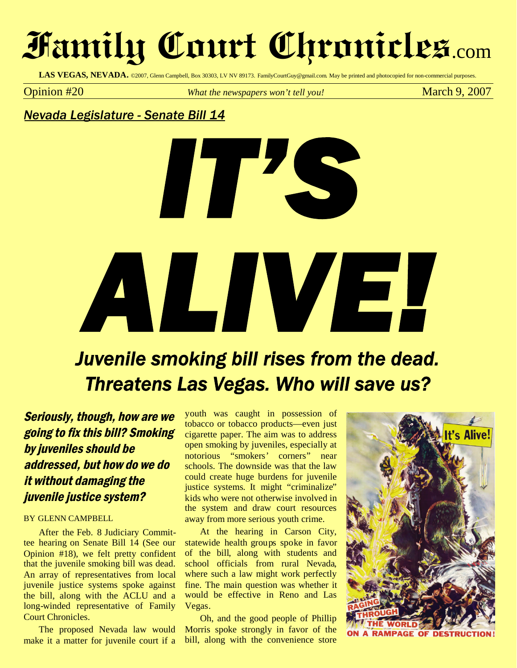# **Family Court Chronicles**.com

LAS VEGAS, NEVADA. ©2007, Glenn Campbell, Box 30303, LV NV 89173. FamilyCourtGuy@gmail.com. May be printed and photocopied for non-commercial purposes.

**Opinion** #20 *What the newspapers won't tell you!* March 9, 2007

### *Nevada Legislature - Senate Bill 14*



## *Juvenile smoking bill rises from the dead. Threatens Las Vegas. Who will save us?*

Seriously, though, how are we going to fix this bill? Smoking by juveniles should be addressed, but how do we do it without damaging the juvenile justice system?

#### BY GLENN CAMPBELL

After the Feb. 8 Judiciary Committee hearing on Senate Bill 14 (See our Opinion #18), we felt pretty confident that the juvenile smoking bill was dead. An array of representatives from local juvenile justice systems spoke against the bill, along with the ACLU and a long-winded representative of Family Court Chronicles.

The proposed Nevada law would make it a matter for juvenile court if a

youth was caught in possession of tobacco or tobacco products—even just cigarette paper. The aim was to address open smoking by juveniles, especially at notorious "smokers' corners" near schools. The downside was that the law could create huge burdens for juvenile justice systems. It might "criminalize" kids who were not otherwise involved in the system and draw court resources away from more serious youth crime.

At the hearing in Carson City, statewide health groups spoke in favor of the bill, along with students and school officials from rural Nevada, where such a law might work perfectly fine. The main question was whether it would be effective in Reno and Las Vegas.

Oh, and the good people of Phillip Morris spoke strongly in favor of the bill, along with the convenience store